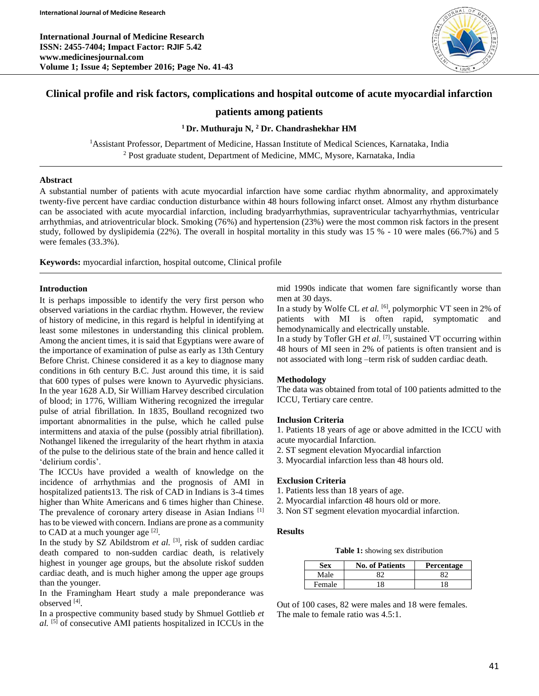**International Journal of Medicine Research ISSN: 2455-7404; Impact Factor: RJIF 5.42 www.medicinesjournal.com Volume 1; Issue 4; September 2016; Page No. 41-43**



# **Clinical profile and risk factors, complications and hospital outcome of acute myocardial infarction**

# **patients among patients**

# **<sup>1</sup>Dr. Muthuraju N, <sup>2</sup> Dr. Chandrashekhar HM**

<sup>1</sup>Assistant Professor, Department of Medicine, Hassan Institute of Medical Sciences, Karnataka, India <sup>2</sup> Post graduate student, Department of Medicine, MMC, Mysore, Karnataka, India

#### **Abstract**

A substantial number of patients with acute myocardial infarction have some cardiac rhythm abnormality, and approximately twenty-five percent have cardiac conduction disturbance within 48 hours following infarct onset. Almost any rhythm disturbance can be associated with acute myocardial infarction, including bradyarrhythmias, supraventricular tachyarrhythmias, ventricular arrhythmias, and atrioventricular block. Smoking (76%) and hypertension (23%) were the most common risk factors in the present study, followed by dyslipidemia (22%). The overall in hospital mortality in this study was 15 % - 10 were males (66.7%) and 5 were females (33.3%).

**Keywords:** myocardial infarction, hospital outcome, Clinical profile

### **Introduction**

It is perhaps impossible to identify the very first person who observed variations in the cardiac rhythm. However, the review of history of medicine, in this regard is helpful in identifying at least some milestones in understanding this clinical problem. Among the ancient times, it is said that Egyptians were aware of the importance of examination of pulse as early as 13th Century Before Christ. Chinese considered it as a key to diagnose many conditions in 6th century B.C. Just around this time, it is said that 600 types of pulses were known to Ayurvedic physicians. In the year 1628 A.D, Sir William Harvey described circulation of blood; in 1776, William Withering recognized the irregular pulse of atrial fibrillation. In 1835, Boulland recognized two important abnormalities in the pulse, which he called pulse intermittens and ataxia of the pulse (possibly atrial fibrillation). Nothangel likened the irregularity of the heart rhythm in ataxia of the pulse to the delirious state of the brain and hence called it 'delirium cordis'.

The ICCUs have provided a wealth of knowledge on the incidence of arrhythmias and the prognosis of AMI in hospitalized patients13. The risk of CAD in Indians is 3-4 times higher than White Americans and 6 times higher than Chinese. The prevalence of coronary artery disease in Asian Indians<sup>[1]</sup> has to be viewed with concern. Indians are prone as a community to CAD at a much younger age  $[2]$ .

In the study by SZ Abildstrom *et al.* [3], risk of sudden cardiac death compared to non-sudden cardiac death, is relatively highest in younger age groups, but the absolute riskof sudden cardiac death, and is much higher among the upper age groups than the younger.

In the Framingham Heart study a male preponderance was observed [4] .

In a prospective community based study by Shmuel Gottlieb *et al.* [5] of consecutive AMI patients hospitalized in ICCUs in the mid 1990s indicate that women fare significantly worse than men at 30 days.

In a study by Wolfe CL *et al.* [6] , polymorphic VT seen in 2% of patients with MI is often rapid, symptomatic and hemodynamically and electrically unstable.

In a study by Tofler GH *et al.* <sup>[7]</sup>, sustained VT occurring within 48 hours of MI seen in 2% of patients is often transient and is not associated with long –term risk of sudden cardiac death.

#### **Methodology**

The data was obtained from total of 100 patients admitted to the ICCU, Tertiary care centre.

#### **Inclusion Criteria**

1. Patients 18 years of age or above admitted in the ICCU with acute myocardial Infarction.

- 2. ST segment elevation Myocardial infarction
- 3. Myocardial infarction less than 48 hours old.

#### **Exclusion Criteria**

- 1. Patients less than 18 years of age.
- 2. Myocardial infarction 48 hours old or more.
- 3. Non ST segment elevation myocardial infarction.

#### **Results**

**Table 1:** showing sex distribution

| Sex    | <b>No. of Patients</b> | <b>Percentage</b> |
|--------|------------------------|-------------------|
| Male   |                        |                   |
| Female | 8                      |                   |

Out of 100 cases, 82 were males and 18 were females. The male to female ratio was 4.5:1.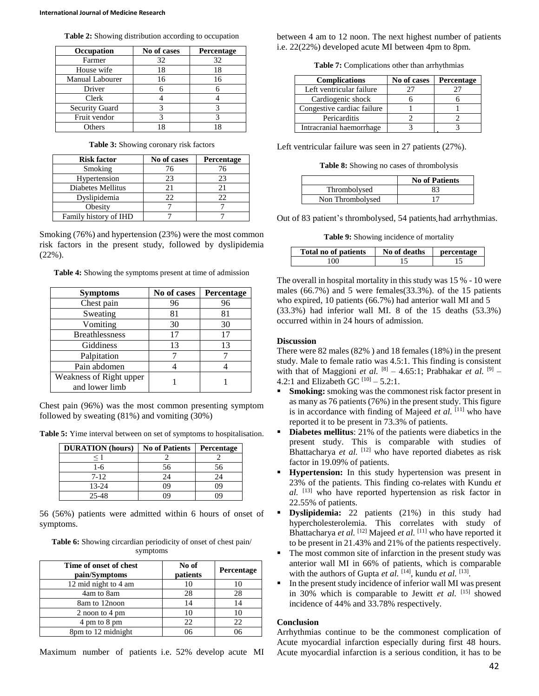| <b>Table 2:</b> Showing distribution according to occupation |  |  |  |  |  |
|--------------------------------------------------------------|--|--|--|--|--|
|--------------------------------------------------------------|--|--|--|--|--|

| Occupation            | No of cases | Percentage |
|-----------------------|-------------|------------|
| Farmer                | 32          | 32         |
| House wife            | 18          | 18         |
| Manual Labourer       | 16          | 16         |
| Driver                |             |            |
| Clerk                 |             |            |
| <b>Security Guard</b> |             |            |
| Fruit vendor          |             |            |
| Others                |             |            |

**Table 3:** Showing coronary risk factors

| <b>Risk factor</b>    | No of cases | Percentage |
|-----------------------|-------------|------------|
| Smoking               | 76          | 76         |
| Hypertension          | 23          | 23         |
| Diabetes Mellitus     | 21          |            |
| Dyslipidemia          | フフ          | 22         |
| Obesity               |             |            |
| Family history of IHD |             |            |

Smoking (76%) and hypertension (23%) were the most common risk factors in the present study, followed by dyslipidemia (22%).

**Table 4:** Showing the symptoms present at time of admission

| <b>Symptoms</b>                           | No of cases | Percentage |
|-------------------------------------------|-------------|------------|
| Chest pain                                | 96          | 96         |
| Sweating                                  | 81          | 81         |
| Vomiting                                  | 30          | 30         |
| <b>Breathlessness</b>                     | 17          | 17         |
| Giddiness                                 | 13          | 13         |
| Palpitation                               |             |            |
| Pain abdomen                              |             |            |
| Weakness of Right upper<br>and lower limb |             |            |

Chest pain (96%) was the most common presenting symptom followed by sweating (81%) and vomiting (30%)

| Table 5: Yime interval between on set of symptoms to hospitalisation. |  |  |  |  |
|-----------------------------------------------------------------------|--|--|--|--|
|-----------------------------------------------------------------------|--|--|--|--|

| <b>DURATION</b> (hours) | <b>No of Patients</b> | <b>Percentage</b> |
|-------------------------|-----------------------|-------------------|
|                         |                       |                   |
| 1-6                     | 56                    | 56                |
| $7-12$                  | 24                    | 24                |
| $13 - 24$               | 79                    | 09                |
| 25-48                   |                       |                   |

56 (56%) patients were admitted within 6 hours of onset of symptoms.

**Table 6:** Showing circardian periodicity of onset of chest pain/ symptoms

| Time of onset of chest<br>pain/Symptoms | No of<br>patients | Percentage |
|-----------------------------------------|-------------------|------------|
| 12 mid night to 4 am                    | 10                |            |
| 4am to 8am                              | 28                | 28         |
| 8am to 12noon                           | 14                | 14         |
| 2 noon to 4 pm                          | 10                |            |
| 4 pm to 8 pm                            | 22                | 22         |
| 8pm to 12 midnight                      | 76                |            |

Maximum number of patients i.e. 52% develop acute MI

between 4 am to 12 noon. The next highest number of patients i.e. 22(22%) developed acute MI between 4pm to 8pm.

**Table 7:** Complications other than arrhythmias

| <b>Complications</b>       | No of cases | <b>Percentage</b> |
|----------------------------|-------------|-------------------|
| Left ventricular failure   | 27          |                   |
| Cardiogenic shock          |             |                   |
| Congestive cardiac failure |             |                   |
| Pericarditis               |             |                   |
| Intracranial haemorrhage   |             |                   |

Left ventricular failure was seen in 27 patients (27%).

**Table 8:** Showing no cases of thrombolysis

|                  | <b>No of Patients</b> |
|------------------|-----------------------|
| Thrombolysed     | 83                    |
| Non Thrombolysed |                       |

Out of 83 patient's thrombolysed, 54 patients had arrhythmias.

**Table 9:** Showing incidence of mortality

| Total no of patients | No of deaths | <b>nercentage</b> |
|----------------------|--------------|-------------------|
| $\Omega$             |              |                   |

The overall in hospital mortality in this study was 15 % - 10 were males (66.7%) and 5 were females(33.3%). of the 15 patients who expired, 10 patients (66.7%) had anterior wall MI and 5 (33.3%) had inferior wall MI. 8 of the 15 deaths (53.3%) occurred within in 24 hours of admission.

#### **Discussion**

There were 82 males (82% ) and 18 females (18%) in the present study. Male to female ratio was 4.5:1. This finding is consistent with that of Maggioni *et al.*  $^{[8]}$  – 4.65:1; Prabhakar *et al.*  $^{[9]}$  – 4.2:1 and Elizabeth GC  $^{[10]} - 5.2$ :1.

- **Smoking:** smoking was the commonest risk factor present in as many as 76 patients (76%) in the present study. This figure is in accordance with finding of Majeed *et al.* [11] who have reported it to be present in 73.3% of patients.
- **Diabetes mellitus**: 21% of the patients were diabetics in the present study. This is comparable with studies of Bhattacharya *et al.* [12] who have reported diabetes as risk factor in 19.09% of patients.
- **Hypertension:** In this study hypertension was present in 23% of the patients. This finding co-relates with Kundu *et al.* [13] who have reported hypertension as risk factor in 22.55% of patients.
- **Dyslipidemia:** 22 patients (21%) in this study had hypercholesterolemia. This correlates with study of Bhattacharya *et al.* [12] Majeed *et al.* [11] who have reported it to be present in 21.43% and 21% of the patients respectively.
- The most common site of infarction in the present study was anterior wall MI in 66% of patients, which is comparable with the authors of Gupta *et al.* [14], kundu *et al.* [13].
- In the present study incidence of inferior wall MI was present in 30% which is comparable to Jewitt *et al.* [15] showed incidence of 44% and 33.78% respectively.

# **Conclusion**

Arrhythmias continue to be the commonest complication of Acute myocardial infarction especially during first 48 hours. Acute myocardial infarction is a serious condition, it has to be